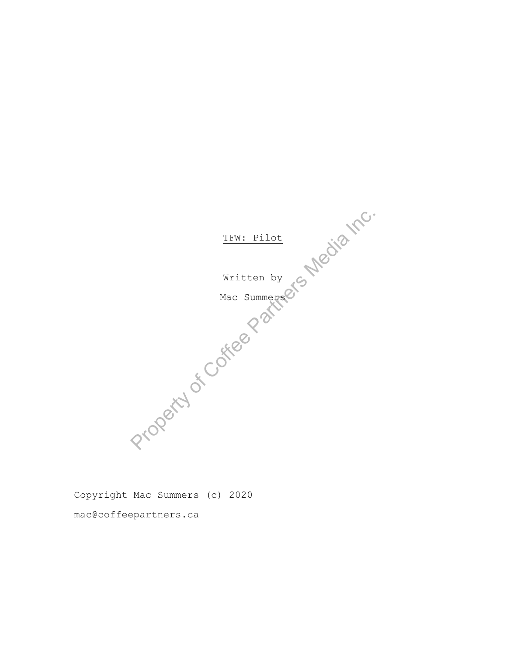

Copyright Mac Summers (c) 2020 mac@coffeepartners.ca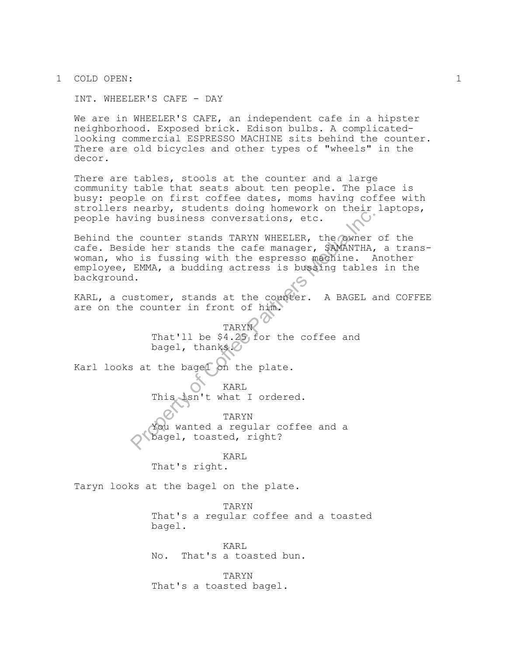1 COLD OPEN: 1

INT. WHEELER'S CAFE - DAY

We are in WHEELER'S CAFE, an independent cafe in a hipster neighborhood. Exposed brick. Edison bulbs. A complicatedlooking commercial ESPRESSO MACHINE sits behind the counter. There are old bicycles and other types of "wheels" in the decor.

There are tables, stools at the counter and a large community table that seats about ten people. The place is busy: people on first coffee dates, moms having coffee with strollers nearby, students doing homework on their laptops, people having business conversations, etc.

Fing business conversations, etc.<br>
Prounter stands TARYN WHEELER, the Cowner<br>
dde her stands the cafe manager, SAMANTHA,<br>
D is fussing with the espresso magnine. A<br>
EMMA, a budding actress is bussing tables<br>
d.<br>
.<br>
stomer, Behind the counter stands TARYN WHEELER, the owner of the cafe. Beside her stands the cafe manager, SAMANTHA, a transwoman, who is fussing with the espresso machine. Another employee, EMMA, a budding actress is bussing tables in the background.

KARL, a customer, stands at the counter. A BAGEL and COFFEE are on the counter in front of him.

> TARYN That'll be \$4.25 for the coffee and bagel, thanks.

Karl looks at the bagel on the plate.

KARL This isn't what I ordered.

TARYN You wanted a regular coffee and a bagel, toasted, right?

KARL

That's right.

Taryn looks at the bagel on the plate.

TARYN That's a regular coffee and a toasted bagel.

KARL No. That's a toasted bun.

TARYN That's a toasted bagel.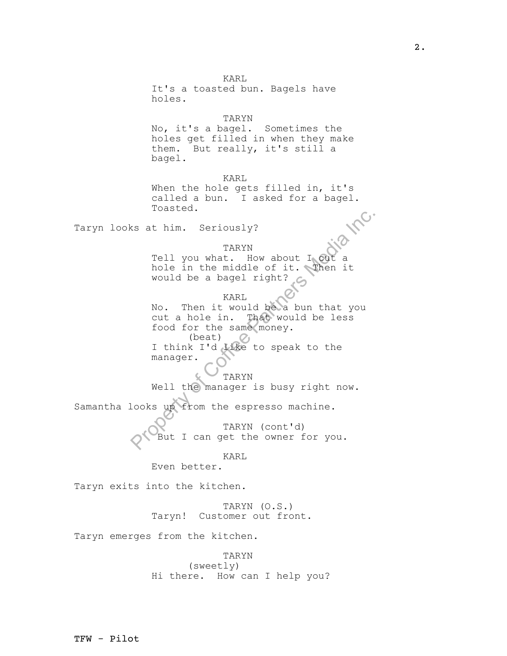examples are the matter of Corrections of Corrections and the middle of it. Then it would be a bagel right?<br>
No. Then it would be a bagel right?<br>
No. Then it would be a bagel right?<br>
No. Then it would be a bun that you<br>
co KARL It's a toasted bun. Bagels have holes. TARYN No, it's a bagel. Sometimes the holes get filled in when they make them. But really, it's still a bagel. KARL When the hole gets filled in, it's called a bun. I asked for a bagel. Toasted. Taryn looks at him. Seriously? TARYN Tell you what. How about I cut a hole in the middle of it. Then it would be a bagel right? KARL No. Then it would be a bun that you cut a hole in. That would be less food for the same money.  $(beat)$   $Q_1$ I think I'd like to speak to the manager. TARYN Well the manager is busy right now. Samantha looks up from the espresso machine. TARYN (cont'd) But I can get the owner for you. KARL Even better. Taryn exits into the kitchen. TARYN (O.S.) Taryn! Customer out front. Taryn emerges from the kitchen. TARYN (sweetly)

Hi there. How can I help you?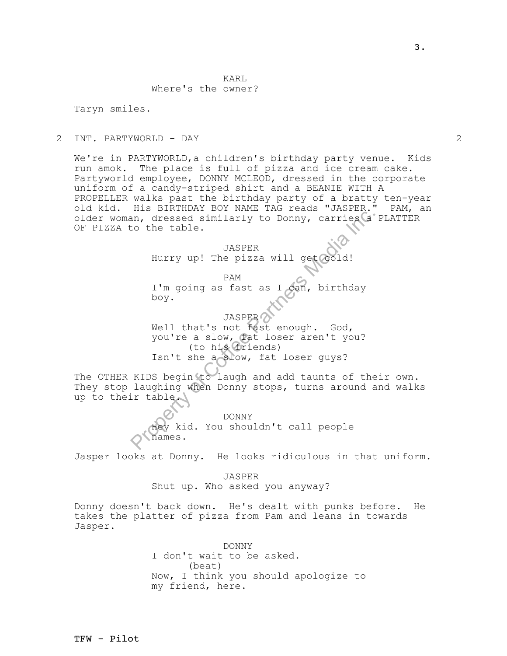### KARL Where's the owner?

Taryn smiles.

#### 2 INT. PARTYWORLD - DAY 2

We're in PARTYWORLD,a children's birthday party venue. Kids run amok. The place is full of pizza and ice cream cake. Partyworld employee, DONNY MCLEOD, dressed in the corporate uniform of a candy-striped shirt and a BEANIE WITH A PROPELLER walks past the birthday party of a bratty ten-year old kid. His BIRTHDAY BOY NAME TAG reads "JASPER." PAM, an older woman, dressed similarly to Donny, carries a PLATTER OF PIZZA to the table.

> JASPER Hurry up! The pizza will get cold!

PAM I'm going as fast as I can, birthday boy.

Are the sead similarly to Donny, carries (a)<br>
to the table.<br>
JASPER<br>
Hurry up! The pizza will get cold!<br>
PAM<br>
I'm going as fast as I can, birthday<br>
boy.<br>
JASPER<br>
Well that's not fast enough. God,<br>
you're a slow, fat loser JASPER Well that's not fast enough. God, you're a slow, fat loser aren't you? (to his friends) Isn't she a slow, fat loser guys?

The OTHER KIDS begin to laugh and add taunts of their own. They stop laughing when Donny stops, turns around and walks up to their table.

> DONNY Hey kid. You shouldn't call people names.

Jasper looks at Donny. He looks ridiculous in that uniform.

JASPER Shut up. Who asked you anyway?

Donny doesn't back down. He's dealt with punks before. He takes the platter of pizza from Pam and leans in towards Jasper.

> DONNY I don't wait to be asked. (beat) Now, I think you should apologize to my friend, here.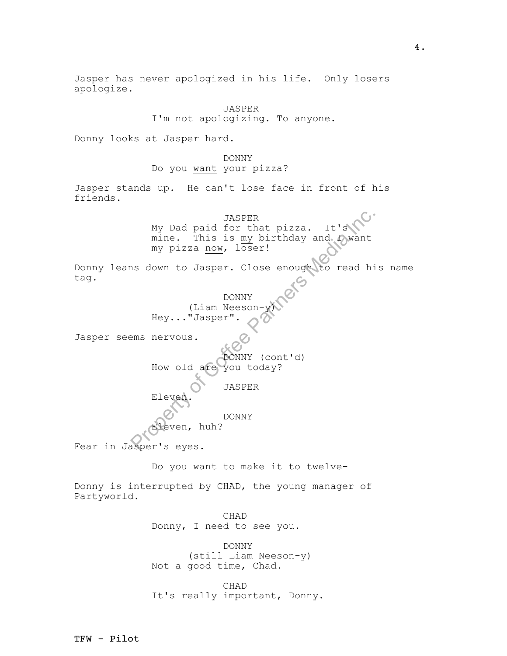JASPER<br>
My Dad paid for that pizza. It's<br>
mine. This is my birthday and Dowant<br>
my pizza now, loser!<br>
Is down to Jasper. Close enough to read hi<br>
DONNY<br>
(Liam Neeson-Wicker Partners Media Inc., "Jasper":<br>
PRONNY (Cont'd)<br> Jasper has never apologized in his life. Only losers apologize. JASPER I'm not apologizing. To anyone. Donny looks at Jasper hard. DONNY Do you want your pizza? Jasper stands up. He can't lose face in front of his friends. JASPER My Dad paid for that pizza. It's mine. This is  $my$  birthday and I want my pizza now, loser! Donny leans down to Jasper. Close enough to read his name tag. DONNY (Liam Neeson-Hey..."Jasper". Jasper seems nervous. DONNY (cont'd) How old are you today? JASPER Eleven. DONNY even, huh? Fear in Jasper's eyes. Do you want to make it to twelve-Donny is interrupted by CHAD, the young manager of Partyworld. CHAD Donny, I need to see you. DONNY (still Liam Neeson-y) Not a good time, Chad. CHAD It's really important, Donny.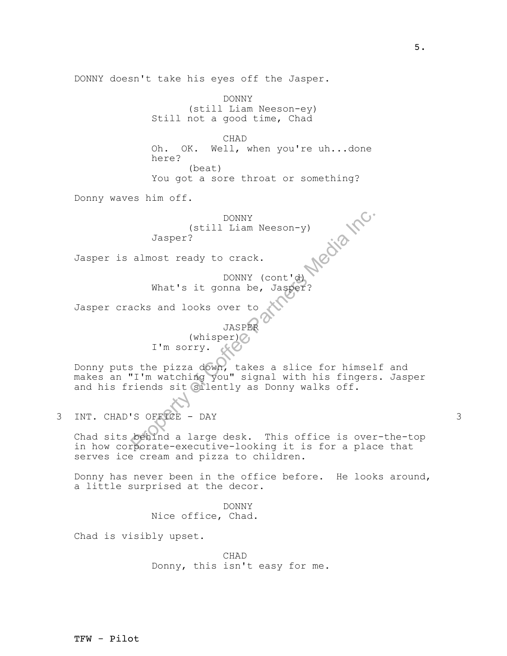CHAD

DONNY doesn't take his eyes off the Jasper.

Oh. OK. Well, when you're uh...done here? (beat)

(still Liam Neeson-ey)

You got a sore throat or something?

Donny waves him off.

DONNY (still Liam Neeson-y) Jasper?

DONNY

Still not a good time, Chad

Jasper is almost ready to crack.

DONNY (cont'd) What's it gonna be, Jasper?

Jasper cracks and looks over to

JASPER  $(\text{whisper})$ I'm sorry.

DONNY<br>
(still Liam Neeson-y)<br>
Jasper?<br>
almost ready to crack.<br>
DONNY (cont'd)<br>
What's it gonna be, Jasper?<br>
acks and looks over to<br>
JASPER<br>
(whisper)<br>
I'm sorry.<br>
State Pizza down, takes a slice for himsel<br>
T'm watching yo Donny puts the pizza down, takes a slice for himself and makes an "I'm watching you" signal with his fingers. Jasper and his friends sit silently as Donny walks off.

3 INT. CHAD'S OFFICE - DAY 3

Chad sits behind a large desk. This office is over-the-top in how corporate-executive-looking it is for a place that serves ice cream and pizza to children.

Donny has never been in the office before. He looks around, a little surprised at the decor.

> DONNY Nice office, Chad.

Chad is visibly upset.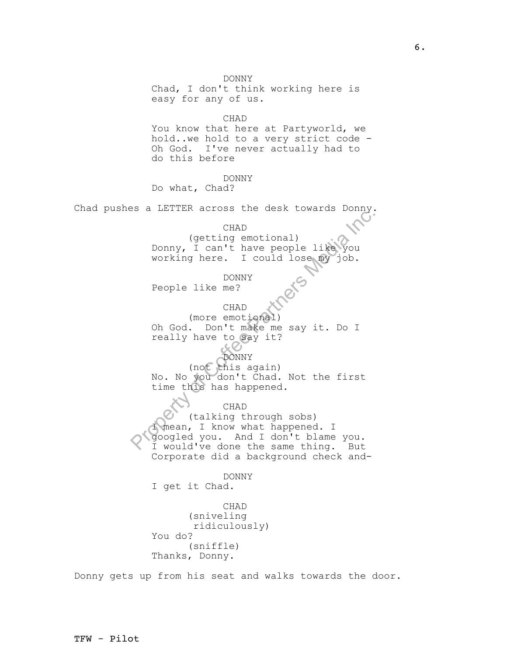DONNY Chad, I don't think working here is easy for any of us.

CHAD

You know that here at Partyworld, we hold..we hold to a very strict code - Oh God. I've never actually had to do this before

DONNY

Do what, Chad?

Chad pushes a LETTER across the desk towards Donny.

CHAD

(getting emotional) Donny, I can't have people like you working here. I could lose my job.

DONNY People like me?

CHAD (more emotional) Oh God. Don't make me say it. Do I really have to say it?

DONNY

(not this again) No. No you don't Chad. Not the first time this has happened.

CHAD

CHAD<br>
(getting emotional)<br>
Donny, I can't have people like you<br>
working here. I could lose my job.<br>
DONNY<br>
People like me?<br>
(HAD<br>
(more emotional)<br>
(not emotional)<br>
(not chase me say it. Do I<br>
really have to gay it?<br>
(not (talking through sobs) I mean, I know what happened. I googled you. And I don't blame you. I would've done the same thing. But Corporate did a background check and-

DONNY I get it Chad.

CHAD (sniveling ridiculously) You do? (sniffle) Thanks, Donny.

Donny gets up from his seat and walks towards the door.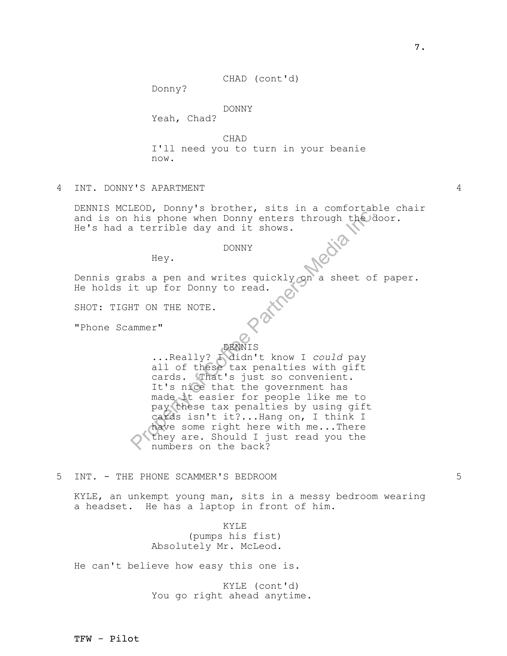CHAD (cont'd)

Donny?

# DONNY

Yeah, Chad?

CHAD I'll need you to turn in your beanie now.

# 4 INT. DONNY'S APARTMENT 4

DENNIS MCLEOD, Donny's brother, sits in a comfortable chair and is on his phone when Donny enters through the door. He's had a terrible day and it shows.

#### DONNY

Hey.

Dennis grabs a pen and writes quickly on a sheet of paper. He holds it up for Donny to read.

SHOT: TIGHT ON THE NOTE.

"Phone Scammer"

### DENNIS

It is phone when Donny enters through the day<br>a terrible day and it shows.<br>DONNY<br>Hey.<br>DONNY<br>Hey.<br>DONNY<br>Hey.<br>DONNY<br>Hey.<br>DONNY<br>Hey.<br>DONNY<br>Hey.<br>DONNY<br>Arther Constant of the Section 2 and the of the Constant<br>of Coreal of the C ...Really? I didn't know I *could* pay all of these tax penalties with gift cards. That's just so convenient. It's nice that the government has made it easier for people like me to pay these tax penalties by using gift cards isn't it?...Hang on, I think I have some right here with me...There they are. Should I just read you the numbers on the back?

## 5 INT. - THE PHONE SCAMMER'S BEDROOM 5

KYLE, an unkempt young man, sits in a messy bedroom wearing a headset. He has a laptop in front of him.

> KYLE (pumps his fist) Absolutely Mr. McLeod.

He can't believe how easy this one is.

KYLE (cont'd) You go right ahead anytime.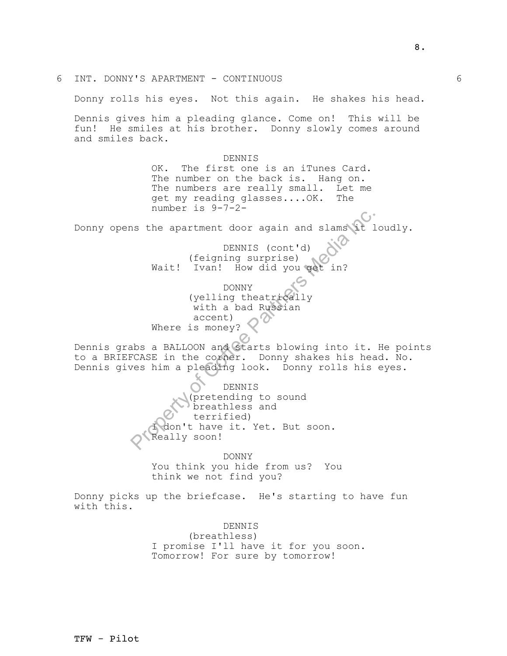The spatter of Control of Control of Control (feigning surprise)<br>
Wait! Ivan! How did you get in?<br>
DENNIS (control)<br>
Wait! Ivan! How did you get in?<br>
DONNY<br>
(yelling theatrically<br>
with a bad Russian<br>
Where is money?<br>
Abs a 6 INT. DONNY'S APARTMENT - CONTINUOUS 6 Donny rolls his eyes. Not this again. He shakes his head. Dennis gives him a pleading glance. Come on! This will be fun! He smiles at his brother. Donny slowly comes around and smiles back. DENNIS OK. The first one is an iTunes Card. The number on the back is. Hang on. The numbers are really small. Let me get my reading glasses....OK. The number is 9-7-2- Donny opens the apartment door again and slams it loudly. DENNIS (cont'd) (feigning surprise) Wait! Ivan! How did you get in? DONNY (yelling theatrically with a bad Russian accent) Where is money? Dennis grabs a BALLOON and starts blowing into it. He points to a BRIEFCASE in the corner. Donny shakes his head. No. Dennis gives him a pleading look. Donny rolls his eyes. DENNIS (pretending to sound breathless and terrified) don't have it. Yet. But soon. Really soon! DONNY You think you hide from us? You think we not find you? Donny picks up the briefcase. He's starting to have fun with this. DENNIS (breathless) I promise I'll have it for you soon.

Tomorrow! For sure by tomorrow!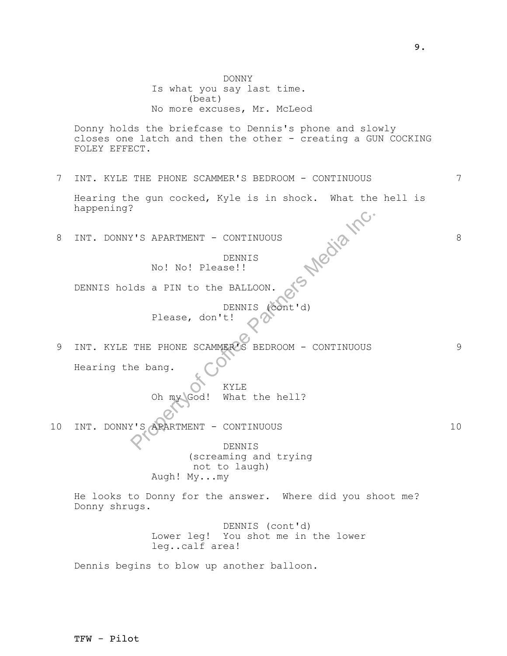PROPERTY OF THE PHONE SCAMPARTS CONTINUOUS<br>
DENNIS<br>
NO! No! Please!!<br>
DENNIS (CONT: (CONT: 1)<br>
Please, don't!<br>
THE PHONE SCAMPARTS BEDROOM - CONTINUOUS<br>
RepARTMENT - CONTINUOUS<br>
PLEASE CONTINUOUS<br>
PLEASE CONTINUOUS<br>
PLEASE DONNY Is what you say last time. (beat) No more excuses, Mr. McLeod Donny holds the briefcase to Dennis's phone and slowly closes one latch and then the other - creating a GUN COCKING FOLEY EFFECT. 7 INT. KYLE THE PHONE SCAMMER'S BEDROOM - CONTINUOUS 7 Hearing the gun cocked, Kyle is in shock. What the hell is<br>happening?<br>INT. DONNY'S APARTMENT - CONTINUOUS<br>DENNITS happening? 8 INT. DONNY'S APARTMENT - CONTINUOUS 8 DENNIS No! No! Please!! DENNIS holds a PIN to the BALLOON. DENNIS (cont'd) Please, don't! 9 INT. KYLE THE PHONE SCAMMER'S BEDROOM - CONTINUOUS 9 Hearing the bang. KYLE Oh my God! What the hell? 10 INT. DONNY'S APARTMENT - CONTINUOUS 10 DENNIS (screaming and trying not to laugh) Augh! My...my He looks to Donny for the answer. Where did you shoot me? Donny shrugs. DENNIS (cont'd) Lower leg! You shot me in the lower leg..calf area! Dennis begins to blow up another balloon.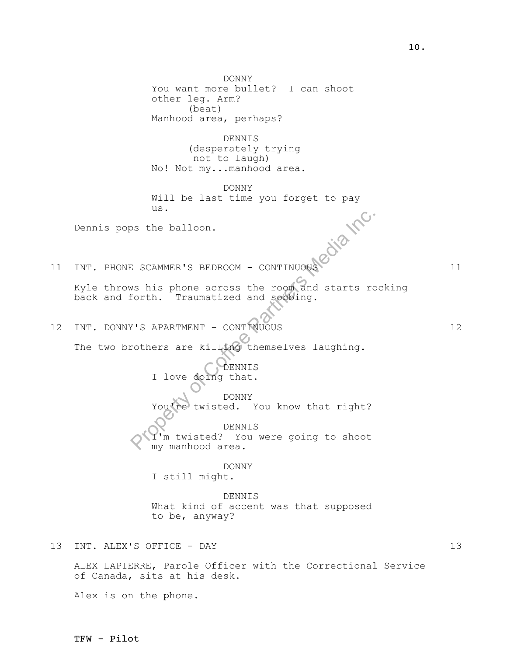Property of Corrections and Solutions of Corrections are selected.<br>
Property of Corrections and Solutions of Corrections are killing themselves laughing.<br>
Property of Corrections are killing themselves laughing.<br>
Property DONNY You want more bullet? I can shoot other leg. Arm? (beat) Manhood area, perhaps? DENNIS (desperately trying not to laugh) No! Not my...manhood area. DONNY Will be last time you forget to pay<br>us.<br>the balloon. us. Dennis pops the balloon. 11 INT. PHONE SCAMMER'S BEDROOM - CONTINUOUS 11 Kyle throws his phone across the room and starts rocking back and forth. Traumatized and sobbing. 12 INT. DONNY'S APARTMENT - CONTINUOUS 12 The two brothers are killing themselves laughing. DENNIS I love doing that. DONNY You're twisted. You know that right? DENNIS I'm twisted? You were going to shoot my manhood area. DONNY I still might. DENNIS What kind of accent was that supposed to be, anyway? 13 INT. ALEX'S OFFICE - DAY 13 ALEX LAPIERRE, Parole Officer with the Correctional Service of Canada, sits at his desk.

Alex is on the phone.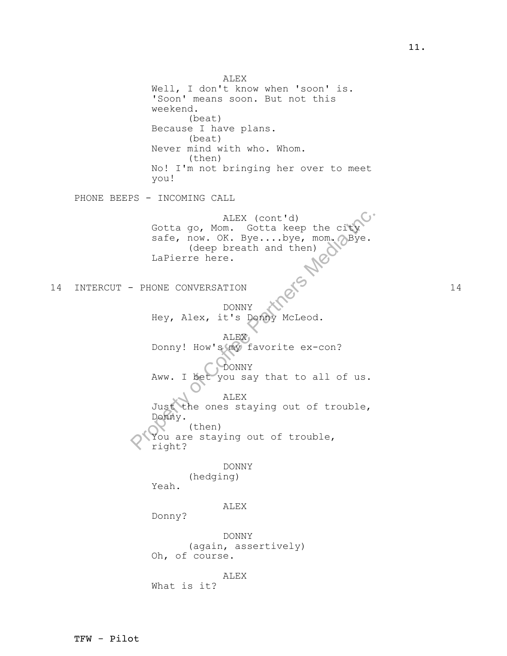ALEX (cont'd)<br>
Gotta go, Mom. Gotta keep the city<br>
safe, now. OK. Bye...bye, mom. abye.<br>
(deep breath and then)<br>
LaPierre here.<br>
- PHONE CONVERSATION<br>
DONNY<br>
Hey, Alex, it's Bonny McLeod.<br>
ALEX<br>
Donny! How's my favorite ex ALEX Well, I don't know when 'soon' is. 'Soon' means soon. But not this weekend. (beat) Because I have plans. (beat) Never mind with who. Whom. (then) No! I'm not bringing her over to meet you! PHONE BEEPS - INCOMING CALL ALEX (cont'd) Gotta go, Mom. Gotta keep the city safe, now. OK. Bye....bye, mom. Bye. (deep breath and then) LaPierre here. 14 INTERCUT – PHONE CONVERSATION 24 DONNY Hey, Alex, it's Donny McLeod. ALEX Donny! How's my favorite ex-con? DONNY Aww. I bet you say that to all of us. ALEX Just the ones staying out of trouble, Donny. (then) You are staying out of trouble, right? DONNY (hedging) Yeah. ALEX Donny? DONNY (again, assertively) Oh, of course. ALEX What is it?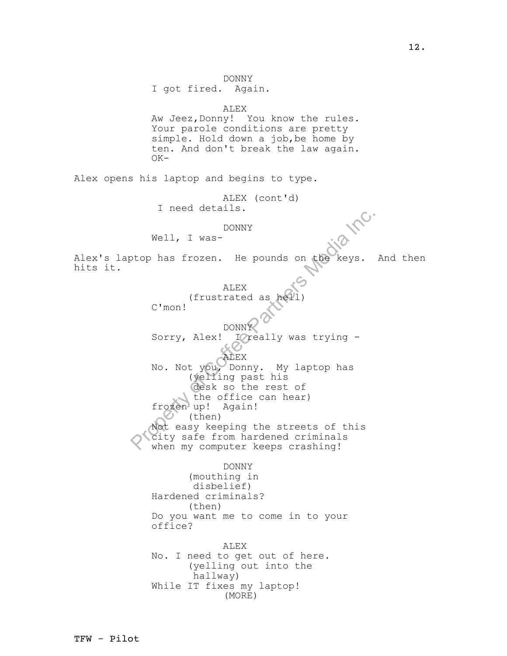PRONNY<br>
Well, I was-<br>
DONNY<br>
Well, I was-<br>
(frustrated as heyil)<br>
C'mon!<br>
Sorry, Alex! I yeally was trying -<br>
Sorry, Alex! I yeally was trying -<br>
No. Not you, Donny. My laptop has<br>
(yelling past his<br>
(example as the effice DONNY I got fired. Again. ALEX Aw Jeez, Donny! You know the rules. Your parole conditions are pretty simple. Hold down a job,be home by ten. And don't break the law again. OK-Alex opens his laptop and begins to type. ALEX (cont'd) I need details. DONNY Well, I was-Alex's laptop has frozen. He pounds on the keys. And then hits it. ALEX (frustrated as C'mon! DONNY Sorry, Alex! I really was trying -ALEX No. Not you, Donny. My laptop has (yelling past his desk so the rest of the office can hear) frozen up! Again!  $\bigcup$  (then) Not easy keeping the streets of this city safe from hardened criminals when my computer keeps crashing! DONNY (mouthing in disbelief) Hardened criminals? (then) Do you want me to come in to your office? ALEX No. I need to get out of here. (yelling out into the hallway) While IT fixes my laptop! (MORE)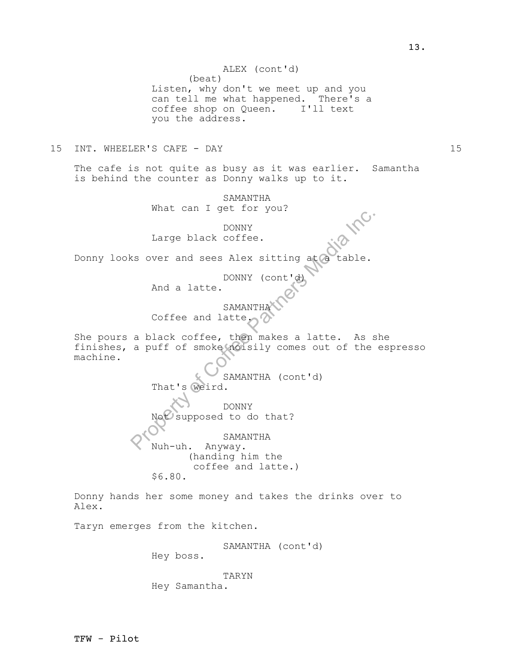ALEX (cont'd)

(beat) Listen, why don't we meet up and you can tell me what happened. There's a coffee shop on Queen. I'll text you the address.

15 INT. WHEELER'S CAFE - DAY 15

The cafe is not quite as busy as it was earlier. Samantha is behind the counter as Donny walks up to it.

> SAMANTHA What can I get for you?

> > DONNY

Large black coffee.

Donny looks over and sees Alex sitting at

DONNY (cont'

And a latte.

**SAMANTHA** 

Coffee and latte.

She pours a black coffee, then makes a latte. As she finishes, a puff of smoke noisily comes out of the espresso machine.

DONNY<br>
Large black coffee.<br>
sover and sees Alex sitting at a table.<br>
DONNY (cont'd)<br>
And a latte.<br>
SAMANTHA<br>
Coffee and latte.<br>
a black coffee, then makes a latte. As s<br>
a puff of smoke molsily comes out of the<br>
SAMANTHA ( SAMANTHA (cont'd) That's weird. DONNY supposed to do that? SAMANTHA Nuh-uh. Anyway. (handing him the

coffee and latte.) \$6.80.

Donny hands her some money and takes the drinks over to Alex.

Taryn emerges from the kitchen.

SAMANTHA (cont'd)

Hey boss.

TARYN Hey Samantha.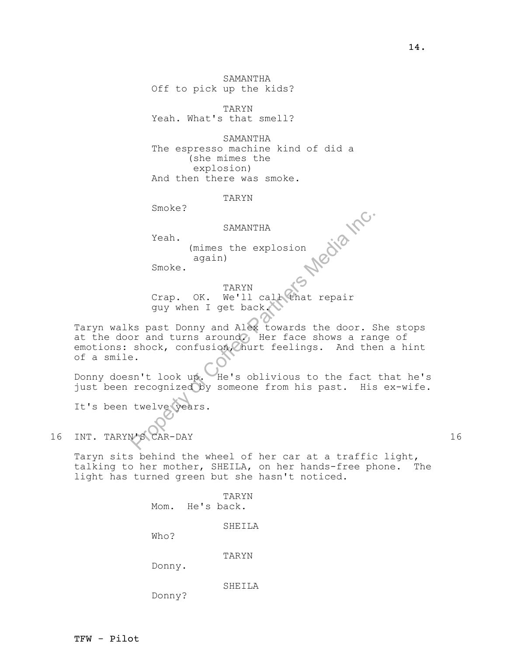TFW - Pilot

SAMANTHA Off to pick up the kids?

TARYN Yeah. What's that smell?

SAMANTHA The espresso machine kind of did a (she mimes the explosion) And then there was smoke.

TARYN

Smoke?

#### SAMANTHA

Yeah.

(mimes the explosion again)

Smoke.

TARYN Crap. OK. We'll call that repair guy when I get back.

SAMANTHA<br>
Yeah.<br>
(mimes the explosion<br>
again)<br>
Smoke.<br>
TARYN<br>
Crap. OK. We'll call that repair<br>
guy when I get back.<br>
Sex past Donny and Alex towards the door. S<br>
or and turns around Her face shows a ran<br>
shock, confusion Taryn walks past Donny and Alex towards the door. She stops at the door and turns around. Her face shows a range of emotions: shock, confusion, hurt feelings. And then a hint of a smile.

Donny doesn't look up. He's oblivious to the fact that he's just been recognized by someone from his past. His ex-wife.

It's been twelve years.

16 INT. TARYN'S CAR-DAY 16

Taryn sits behind the wheel of her car at a traffic light, talking to her mother, SHEILA, on her hands-free phone. The light has turned green but she hasn't noticed.

> TARYN Mom. He's back. SHEILA Who? TARYN Donny. SHEILA

Donny?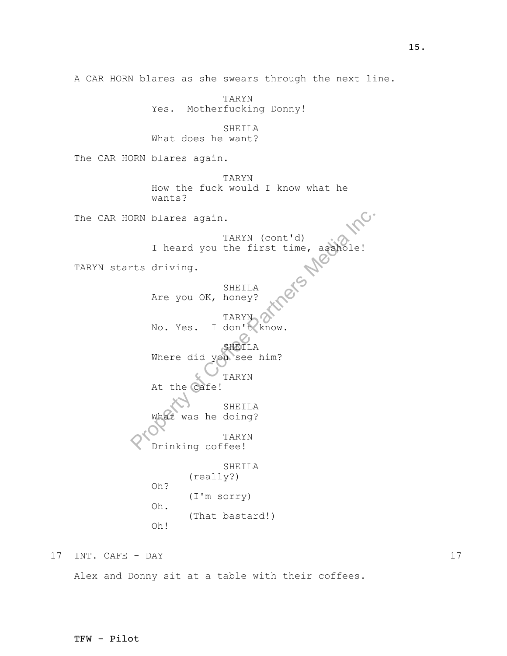PRI blares again.<br>
TARYN (cont'd)<br>
I heard you the first time, associate!<br>
TARYN SHEILA<br>
Are you OK, honey?<br>
TARYN No. Yes. I don't know.<br>
SHEILA<br>
Where did you see him?<br>
TARYN At the Cafe!<br>
SHEILA<br>
What was he doing?<br>
TAR TARYN Yes. Motherfucking Donny! SHEILA What does he want? The CAR HORN blares again. TARYN How the fuck would I know what he wants? The CAR HORN blares again. TARYN (cont'd) I heard you the first time, asshole! TARYN starts driving. SHEILA Are you OK, honey? TARYN No. Yes. I don't know. SHEILA Where did you see him? TARYN At the cafe! SHEILA What was he doing? TARYN Drinking coffee! SHEILA (really?) Oh? (I'm sorry) Oh. (That bastard!) Oh!

A CAR HORN blares as she swears through the next line.

17 INT. CAFE - DAY 17

Alex and Donny sit at a table with their coffees.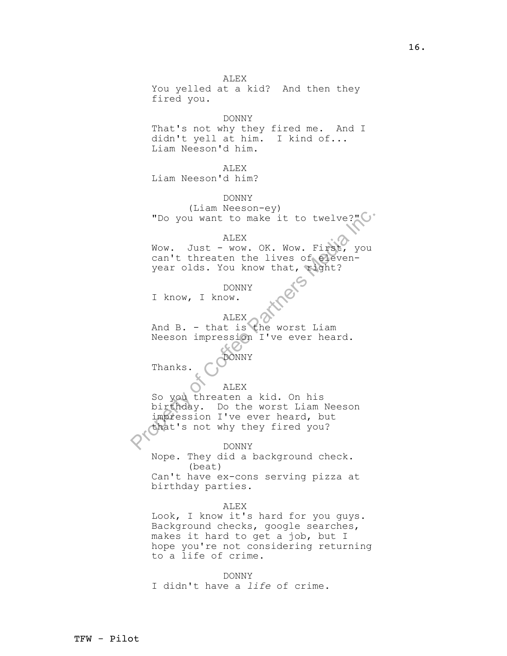"Do you want to make it to twelve?"<br>ALEX<br>Wow. Just - wow. OK. Wow. First, you<br>can't threaten the lives of eleven-<br>year olds. You know that, wight?<br>DONNY<br>I know, I know.<br>ALEX<br>And B. - that is the worst Liam<br>Neeson impressio ALEX You yelled at a kid? And then they fired you. DONNY That's not why they fired me. And I didn't yell at him. I kind of... Liam Neeson'd him. ALEX Liam Neeson'd him? DONNY (Liam Neeson-ey) "Do you want to make it to twelve?" ALEX Wow. Just - wow. OK. Wow. First, you can't threaten the lives of elevenyear olds. You know that, right? DONNY I know, I know. ALEX And B. - that is the worst Liam Neeson impression I've ever heard. DONNY Thanks. ALEX So you threaten a kid. On his birthday. Do the worst Liam Neeson impression I've ever heard, but that's not why they fired you? DONNY Nope. They did a background check. (beat) Can't have ex-cons serving pizza at birthday parties. ALEX Look, I know it's hard for you guys. Background checks, google searches, makes it hard to get a job, but I hope you're not considering returning to a life of crime. DONNY

I didn't have a *life* of crime.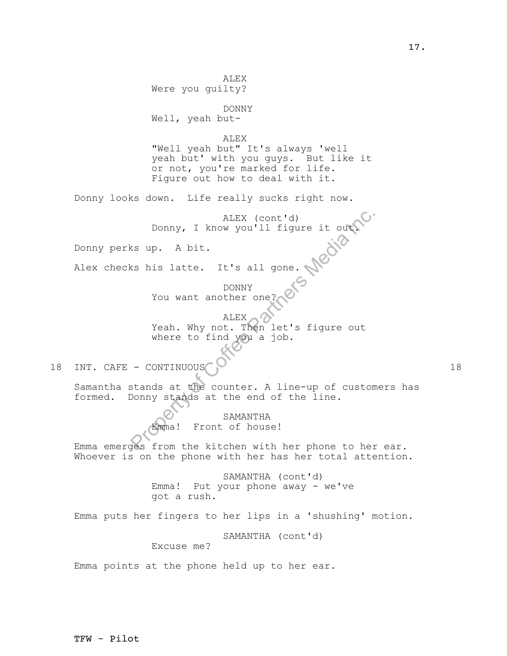ALEX (cont'd)<br>
status of Corrections Corrections<br>
Supplementary of Corrections<br>
Media Inc. Then let's figure out<br>
where to find you a job.<br>
- CONTINUOUS<br>
Stands at the counter. A line-up of custom<br>
DONNY stands at the coun ALEX Were you guilty? DONNY Well, yeah but-ALEX "Well yeah but" It's always 'well yeah but' with you guys. But like it or not, you're marked for life. Figure out how to deal with it. Donny looks down. Life really sucks right now. Donny, I know you'll figure it out. Donny perks up. A bit. Alex checks his latte. It's all gone. DONNY You want another one? ALEX 2 Yeah. Why not. Then let's figure out where to find you a job. 18 INT. CAFE - CONTINUOUS 18 Samantha stands at the counter. A line-up of customers has formed. Donny stands at the end of the line. SAMANTHA Emma! Front of house! Emma emerges from the kitchen with her phone to her ear. Whoever is on the phone with her has her total attention. SAMANTHA (cont'd) Emma! Put your phone away - we've got a rush. Emma puts her fingers to her lips in a 'shushing' motion. SAMANTHA (cont'd) Excuse me? Emma points at the phone held up to her ear.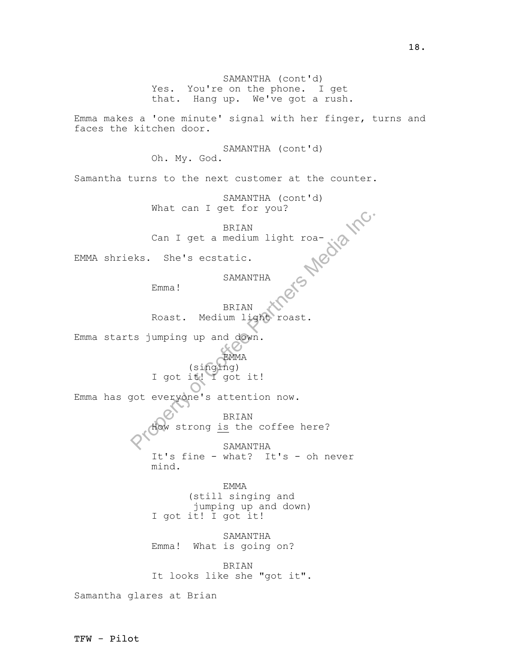18.

SAMANTHA (cont'd) Yes. You're on the phone. I get that. Hang up. We've got a rush.

Emma makes a 'one minute' signal with her finger, turns and faces the kitchen door.

> SAMANTHA (cont'd) Oh. My. God.

Samantha turns to the next customer at the counter.

SAMANTHA (cont'd) What can I get for you?

Propia Inc. BRIAN Can I get a medium light roa-

EMMA shrieks. She's ecstatic.

SAMANTHA

Emma!

BRIAN Roast. Medium light roast.

Emma starts jumping up and down.

EMMA

(singing) I got it! I got it!

Emma has got everyone's attention now.

BRIAN How strong <u>is</u> the coffee here? SAMANTHA

It's fine - what? It's - oh never mind.

EMMA (still singing and jumping up and down) I got it! I got it!

SAMANTHA Emma! What is going on?

BRIAN It looks like she "got it".

Samantha glares at Brian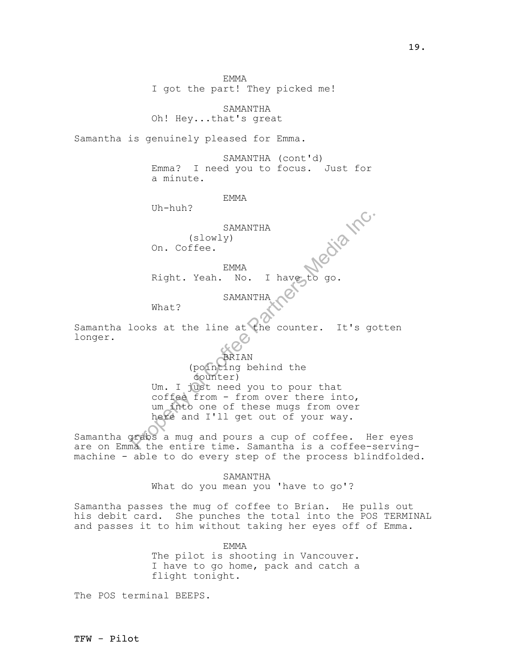EMMA I got the part! They picked me!

SAMANTHA

Oh! Hey...that's great

Samantha is genuinely pleased for Emma.

SAMANTHA (cont'd) Emma? I need you to focus. Just for a minute.

EMMA

Uh-huh?

SAMANTHA (slowly)

On. Coffee.

EMMA

Right. Yeah. No. I have

SAMANTHA

What?

Samantha looks at the line at the counter. It's gotten longer.

SAMANTHA<br>
(slowly)<br>
On. Coffee.<br>
EMMA<br>
Right. Yeah. No. I have to go.<br>
SAMANTHA<br>
What?<br>
Nooks at the line at the counter. It's go<br>
SAMANTHA<br>
(pointing behind the<br>
Correct Conter)<br>
Um. I just need you to pour that<br>
coffee f BRIAN (pointing behind the counter) Um. I just need you to pour that coffee from - from over there into, um into one of these mugs from over here and I'll get out of your way.

Samantha grabs a mug and pours a cup of coffee. Her eyes are on Emma the entire time. Samantha is a coffee-servingmachine - able to do every step of the process blindfolded.

> SAMANTHA What do you mean you 'have to go'?

Samantha passes the mug of coffee to Brian. He pulls out his debit card. She punches the total into the POS TERMINAL and passes it to him without taking her eyes off of Emma.

> EMMA The pilot is shooting in Vancouver. I have to go home, pack and catch a flight tonight.

The POS terminal BEEPS.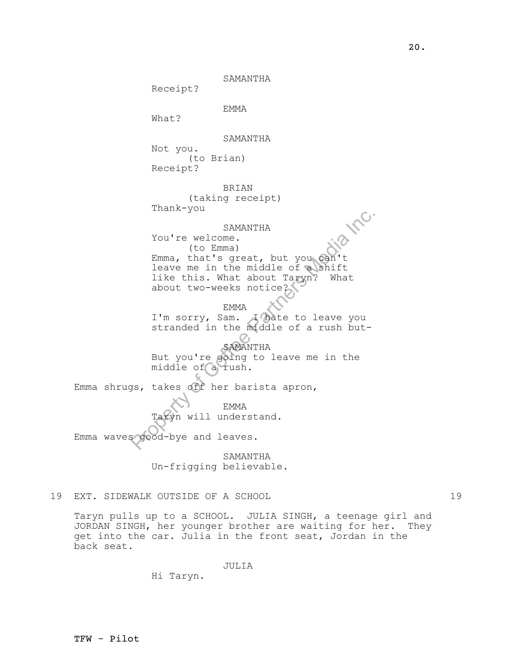SAMANTHA

Receipt?

EMMA

What?

SAMANTHA

Not you. (to Brian) Receipt?

BRIAN

(taking receipt) Thank-you

### SAMANTHA

SAMANTHA<br>
You're welcome.<br>
(to Emma)<br>
Emma, that's great, but you can't<br>
leave me in the middle of a shift<br>
like this. What about Taryn? What<br>
about two-weeks notice?<br>
EMMA<br>
I'm sorry, Sam.<br>
I'm sorry, Sam.<br>
SAMANTHA<br>
But You're welcome. (to Emma) SAMANTHA<br>You're welcome.<br>(to Emma)<br>Emma, that's great, but you can't leave me in the middle of a shift like this. What about Taryn? What about two-weeks notice?

EMMA

I'm sorry, Sam. I hate to leave you stranded in the middle of a rush but-

SAMANTHA But you're going to leave me in the middle of a rush.

Emma shrugs, takes off her barista apron,

EMMA yn will understand.

Emma waves good-bye and leaves.

SAMANTHA Un-frigging believable.

# 19 EXT. SIDEWALK OUTSIDE OF A SCHOOL 19

Taryn pulls up to a SCHOOL. JULIA SINGH, a teenage girl and JORDAN SINGH, her younger brother are waiting for her. They get into the car. Julia in the front seat, Jordan in the back seat.

JULIA

Hi Taryn.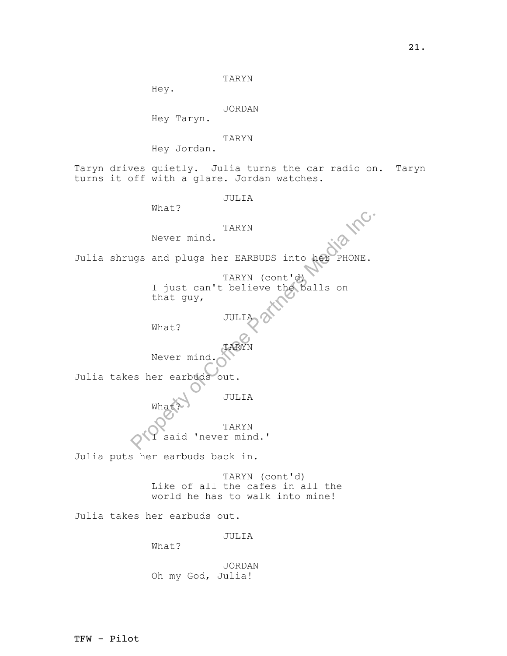TARYN

Hey.

JORDAN

Hey Taryn.

TARYN

Hey Jordan.

Taryn drives quietly. Julia turns the car radio on. Taryn turns it off with a glare. Jordan watches.

JULIA

What?

TARYN

Never mind.

Julia shrugs and plugs her EARBUDS into her PHONE.

TARYN<br>
Never mind.<br>
1 gist can't believe the balls on<br>
The Correct Partners Media Inc.<br>
That guy,<br>
What?<br>
Never mind.<br>
Never mind.<br>
TARYN<br>
See Partners Media Inc.<br>
TARYN<br>
TARYN<br>
TARYN<br>
TARYN<br>
TARYN<br>
TARYN<br>
TARYN<br>
TARYN<br>
TA TARYN (cont'd) I just can't believe the balls on that guy,

JULIA

What?

TARYN Never mind.

Julia takes her earbuds out.

JULIA What?

> TARYN I said 'never mind.'

Julia puts her earbuds back in.

TARYN (cont'd) Like of all the cafes in all the world he has to walk into mine!

Julia takes her earbuds out.

JULIA

What?

JORDAN Oh my God, Julia!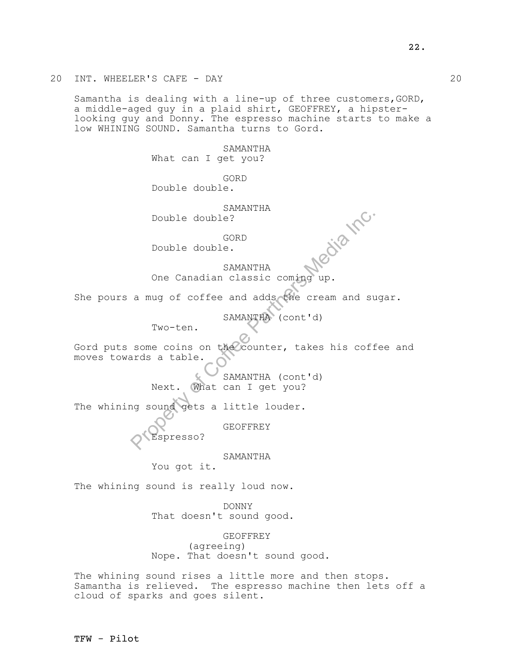Samantha is dealing with a line-up of three customers,GORD, a middle-aged guy in a plaid shirt, GEOFFREY, a hipsterlooking guy and Donny. The espresso machine starts to make a low WHINING SOUND. Samantha turns to Gord.

> SAMANTHA What can I get you?

GORD Double double.

SAMANTHA Double double?

GORD

Double double.

SAMANTHA

One Canadian classic coming up.

She pours a mug of coffee and adds the cream and sugar.

SAMANTHA (cont'd)

Two-ten.

Pouble double?<br>
CORD<br>
Double double.<br>
SAMANTHA<br>
One Canadian classic coming up.<br>
a mug of coffee and adds the cream and su<br>
SAMANTHA (cont'd)<br>
Two-ten.<br>
some coins on the counter, takes his coff<br>
ards a table.<br>
SAMANTHA (c Gord puts some coins on the counter, takes his coffee and moves towards a table.

SAMANTHA (cont'd) Next. What can I get you?

The whining sound gets a little louder.

GEOFFREY

Espresso?

SAMANTHA

You got it.

The whining sound is really loud now.

DONNY That doesn't sound good.

GEOFFREY (agreeing) Nope. That doesn't sound good.

The whining sound rises a little more and then stops. Samantha is relieved. The espresso machine then lets off a cloud of sparks and goes silent.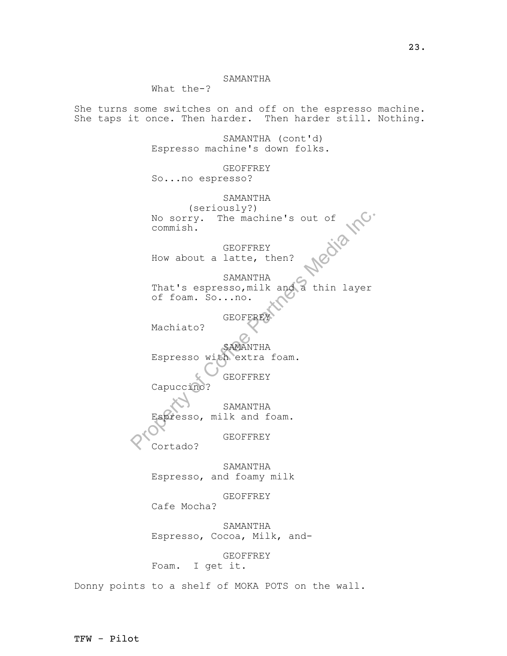## SAMANTHA

What the-?

She turns some switches on and off on the espresso machine. She taps it once. Then harder. Then harder still. Nothing.

> SAMANTHA (cont'd) Espresso machine's down folks.

GEOFFREY So...no espresso?

No sorry. The machine's out of<br>
commish.<br>
GEOFFREY<br>
How about a latte, then?<br>
SAMANTHA<br>
That's espresso, milk and a thin layer<br>
of foam. So...no.<br>
GEOFFREY<br>
Machiato?<br>
SAMANTHA<br>
Espresso with extra foam.<br>
GEOFFREY<br>
Capucci SAMANTHA (seriously?) No sorry. The machine's out of commish.<br>
GEOFFREY commish. GEOFFREY How about a latte, then? SAMANTHA That's espresso,milk and a thin layer of foam. So...no.

GEOFFREY

Machiato?

SAMANTHA Espresso with extra foam.

GEOFFREY Capuccino?

SAMANTHA

Espresso, milk and foam.

GEOFFREY

Cortado?

SAMANTHA Espresso, and foamy milk

GEOFFREY

Cafe Mocha?

SAMANTHA Espresso, Cocoa, Milk, and-

GEOFFREY Foam. I get it.

Donny points to a shelf of MOKA POTS on the wall.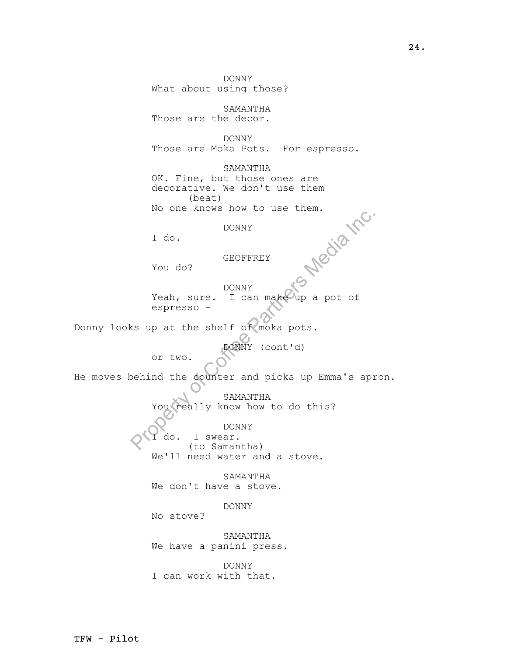PROFINERED TRANSPORTED THE SECTION OF THE SAMARY TRANSPORT OF THE SAMARY COLLECT CONTROL OF THE SAMARY COLLECT CONTROL OF THE SAMARY COLLECT CONTROL COLLECT CONTROL COLLECT CONTROL CONTROL CONTROL CONTROL CONTROL CONTROL C DONNY What about using those? SAMANTHA Those are the decor. DONNY Those are Moka Pots. For espresso. SAMANTHA OK. Fine, but those ones are decorative. We don't use them (beat) No one knows how to use them.<br>DONNY<br>I do.<br>You do?<br>SEOFFT DONNY I do. GEOFFREY You do? DONNY Yeah, sure. I can make up a pot of espresso - Donny looks up at the shelf of moka pots. DONNY (cont'd) or two. He moves behind the counter and picks up Emma's apron. SAMANTHA You really know how to do this? DONNY I do. I swear. (to Samantha) We'll need water and a stove. SAMANTHA We don't have a stove. DONNY No stove? SAMANTHA We have a panini press. DONNY I can work with that.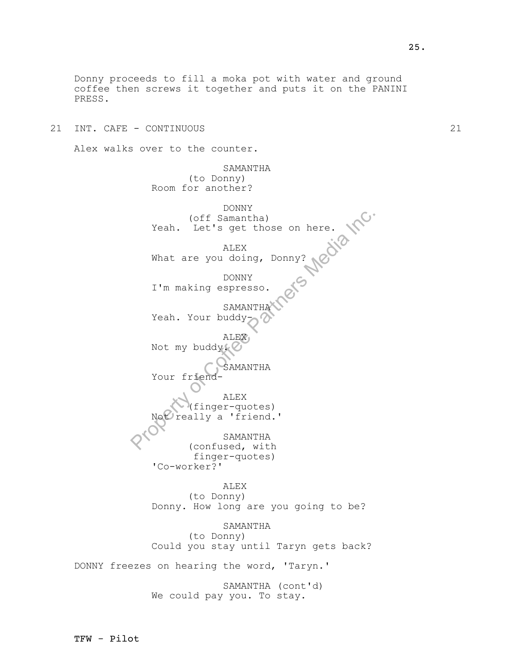Donny proceeds to fill a moka pot with water and ground coffee then screws it together and puts it on the PANINI PRESS.

21 INT. CAFE - CONTINUOUS 21

Alex walks over to the counter.

(off Samantha)<br>
Yeah. Let's get those on here.<br>
ALEX<br>
What are you doing, Donny?<br>
DONNY<br>
I'm making espresso.<br>
SAMANTHA<br>
Yeah. Your buddy<br>
ALEX<br>
Not my buddy.<br>
Not my buddy.<br>
ALEX<br>
Not friend-<br>
ALEX<br>
(finger-quotes)<br>
Nexte SAMANTHA (to Donny) Room for another? DONNY off ( Samantha) Yeah. Let's get those on here. ALEX What are you doing, Donny? DONNY I'm making espresso. SAMANTH Yeah. Your buddy-ALEX Not my buddy. SAMANTHA Your friend ALEX (finger-quotes) really a 'friend.' SAMANTHA (confused, with finger-quotes) 'Co-worker?' ALEX (to Donny) Donny. How long are you going to be? SAMANTHA (to Donny) Could you stay until Taryn gets back? DONNY freezes on hearing the word, 'Taryn.' SAMANTHA (cont'd)

We could pay you. To stay.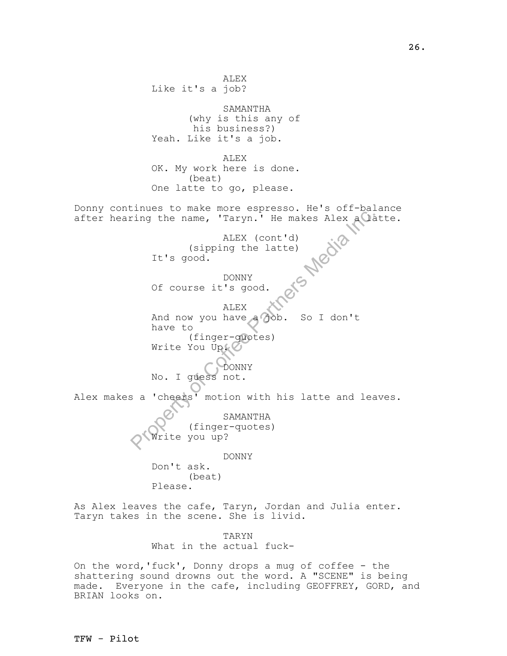Fing the name, 'Taryn.' He makes Alex a Cla<br>
LEX (cont'd)<br>
(sipping the latte)<br>
It's good.<br>
DONNY<br>
Of course it's good.<br>
DONNY<br>
Of course it's good.<br>
ALEX<br>
And now you have a 70b. So I don't<br>
have to<br>
(finger-quotes)<br>
Writ ALEX Like it's a job? SAMANTHA (why is this any of his business?) Yeah. Like it's a job. ALEX OK. My work here is done. (beat) One latte to go, please. Donny continues to make more espresso. He's off-balance after hearing the name, 'Taryn.' He makes Alex a latte. ALEX (cont'd) (sipping the latte) It's good. DONNY Of course it's good. ALEX And now you have a job. So I don't have to (finger-quotes) Write You Up. DONNY No. I guess not. Alex makes a 'cheers' motion with his latte and leaves. SAMANTHA (finger-quotes) Write you up? DONNY Don't ask. (beat) Please.

As Alex leaves the cafe, Taryn, Jordan and Julia enter. Taryn takes in the scene. She is livid.

> TARYN What in the actual fuck-

On the word,'fuck', Donny drops a mug of coffee - the shattering sound drowns out the word. A "SCENE" is being made. Everyone in the cafe, including GEOFFREY, GORD, and BRIAN looks on.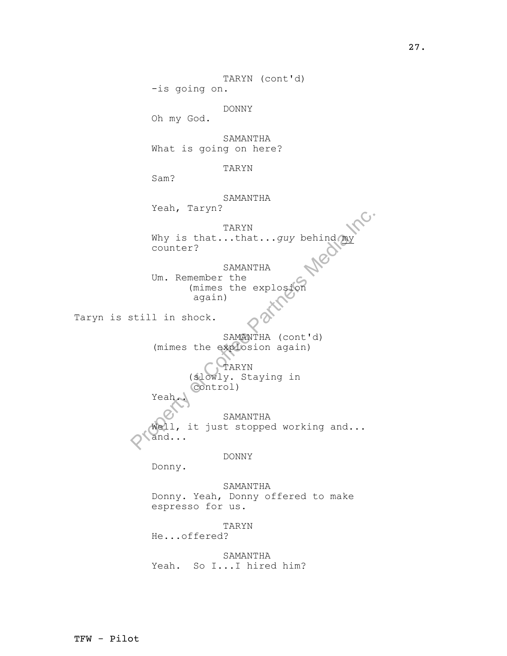TARYN<br>
Why is that...that...guy behind<br>
counter?<br>
SAMANTHA<br>
Um. Remember the<br>
(mimes the explosion<br>
again)<br>
still in shock.<br>
SAMANTHA (cont'd)<br>
(mimes the explosion again)<br>
(slowly. Staying in<br>
Control)<br>
Yeah<br>
SAMANTHA<br>
(w TARYN (cont'd) -is going on. DONNY Oh my God. SAMANTHA What is going on here? TARYN Sam? SAMANTHA<br>Yeah, Taryn? Yeah, Taryn? TARYN Why is that...that...*guy* behind my counter? SAMANTHA Um. Remember the (mimes the explosion again) Taryn is still in shock. SAMANTHA (cont'd) (mimes the explosion again) TARYN (slowly. Staying in control) Yeah.. SAMANTHA Well, it just stopped working and... and... DONNY Donny. SAMANTHA Donny. Yeah, Donny offered to make espresso for us. TARYN He...offered? SAMANTHA Yeah. So I...I hired him?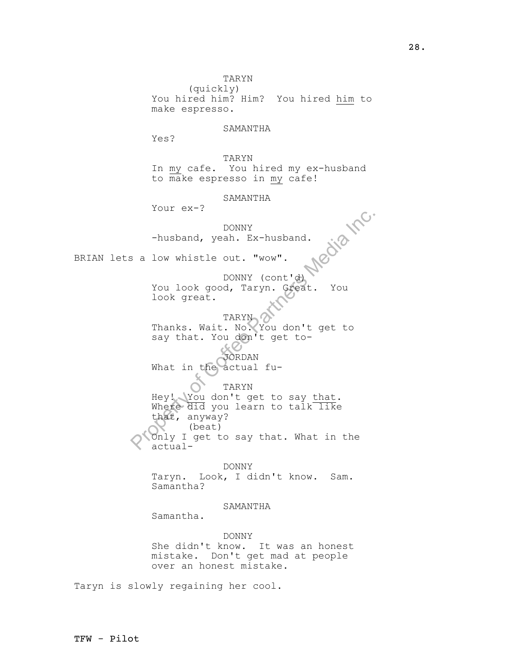Property of Corrections and the same of Correction<br>
Property of Connections of Corrections of Corrections (September 2013)<br>
Property of Connections (September 2014)<br>
Thanks. Wait. No. You don't get to<br>
say that. You don't TARYN (quickly) You hired him? Him? You hired him to make espresso. SAMANTHA Yes? TARYN In my cafe. You hired my ex-husband to make espresso in my cafe! SAMANTHA Your ex-? DONNY -husband, yeah. Ex-husband. BRIAN lets a low whistle out. "wow". DONNY (cont'd) You look good, Taryn. Great. You look great. TARYN Thanks. Wait. No. You don't get to say that. You don't get to-JORDAN What in the actual fu-TARYN Hey! You don't get to say that. Where  $di\overline{d}$  you learn to talk like that, anyway? (beat)

Only I get to say that. What in the actual-

DONNY Taryn. Look, I didn't know. Sam. Samantha?

#### SAMANTHA

Samantha.

DONNY She didn't know. It was an honest mistake. Don't get mad at people over an honest mistake.

Taryn is slowly regaining her cool.